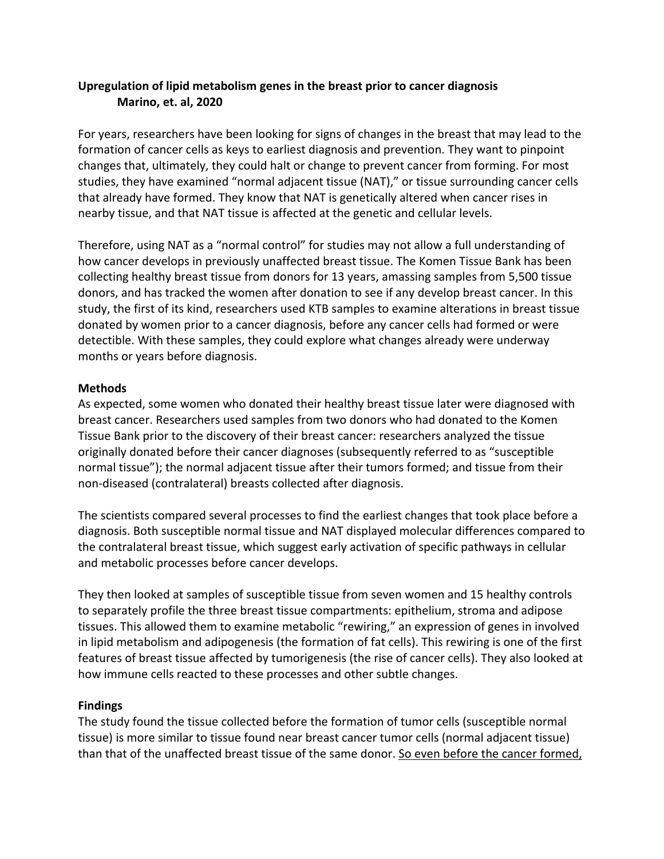## **Upregulation of lipid metabolism genes in the breast prior to cancer diagnosis Marino, et. al, 2020**

For years, researchers have been looking for signs of changes in the breast that may lead to the formation of cancer cells as keys to earliest diagnosis and prevention. They want to pinpoint changes that, ultimately, they could halt or change to prevent cancer from forming. For most studies, they have examined "normal adjacent tissue (NAT)," or tissue surrounding cancer cells that already have formed. They know that NAT is genetically altered when cancer rises in nearby tissue, and that NAT tissue is affected at the genetic and cellular levels.

Therefore, using NAT as a "normal control" for studies may not allow a full understanding of how cancer develops in previously unaffected breast tissue. The Komen Tissue Bank has been collecting healthy breast tissue from donors for 13 years, amassing samples from 5,500 tissue donors, and has tracked the women after donation to see if any develop breast cancer. In this study, the first of its kind, researchers used KTB samples to examine alterations in breast tissue donated by women prior to a cancer diagnosis, before any cancer cells had formed or were detectible. With these samples, they could explore what changes already were underway months or years before diagnosis.

#### **Methods**

As expected, some women who donated their healthy breast tissue later were diagnosed with breast cancer. Researchers used samples from two donors who had donated to the Komen Tissue Bank prior to the discovery of their breast cancer: researchers analyzed the tissue originally donated before their cancer diagnoses (subsequently referred to as "susceptible normal tissue"); the normal adjacent tissue after their tumors formed; and tissue from their non-diseased (contralateral) breasts collected after diagnosis.

The scientists compared several processes to find the earliest changes that took place before a diagnosis. Both susceptible normal tissue and NAT displayed molecular differences compared to the contralateral breast tissue, which suggest early activation of specific pathways in cellular and metabolic processes before cancer develops.

They then looked at samples of susceptible tissue from seven women and 15 healthy controls to separately profile the three breast tissue compartments: epithelium, stroma and adipose tissues. This allowed them to examine metabolic "rewiring," an expression of genes in involved in lipid metabolism and adipogenesis (the formation of fat cells). This rewiring is one of the first features of breast tissue affected by tumorigenesis (the rise of cancer cells). They also looked at how immune cells reacted to these processes and other subtle changes.

### **Findings**

The study found the tissue collected before the formation of tumor cells (susceptible normal tissue) is more similar to tissue found near breast cancer tumor cells (normal adjacent tissue) than that of the unaffected breast tissue of the same donor. So even before the cancer formed,